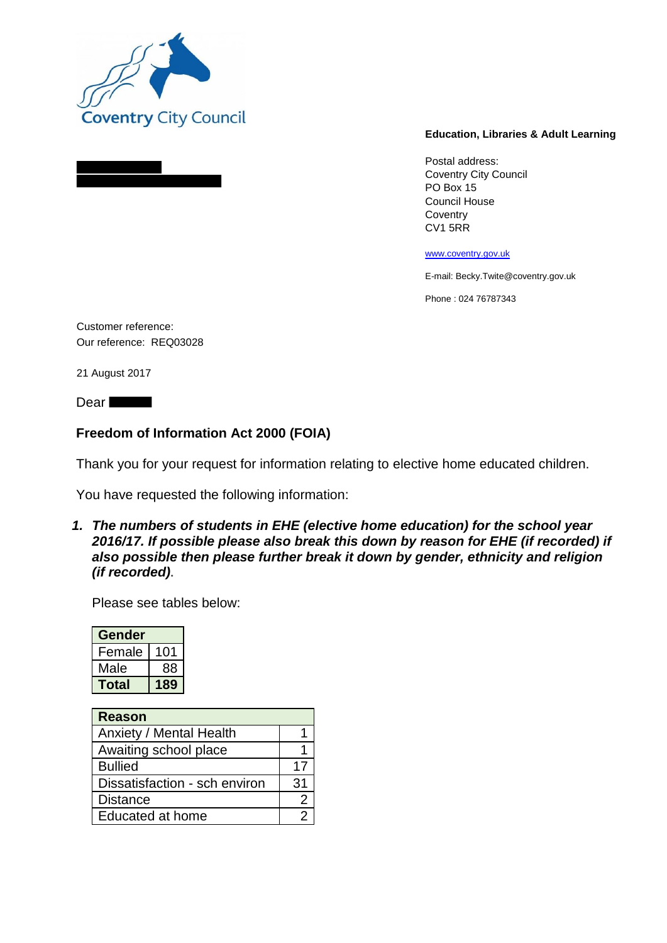

## **Education, Libraries & Adult Learning**

Postal address: Coventry City Council PO Box 15 Council House **Coventry** CV1 5RR

www.coventry.gov.uk

E-mail: Becky.Twite@coventry.gov.uk

Phone : 024 76787343

Customer reference: Our reference: REQ03028

21 August 2017

Dear **Dear** 

## **Freedom of Information Act 2000 (FOIA)**

Thank you for your request for information relating to elective home educated children.

You have requested the following information:

*1. The numbers of students in EHE (elective home education) for the school year 2016/17. If possible please also break this down by reason for EHE (if recorded) if also possible then please further break it down by gender, ethnicity and religion (if recorded)***.**

Please see tables below:

| Gender |     |
|--------|-----|
| Female | 101 |
| Male   | 88  |
| Total  |     |

| <b>Reason</b>                 |    |
|-------------------------------|----|
| Anxiety / Mental Health       |    |
| Awaiting school place         |    |
| <b>Bullied</b>                | 17 |
| Dissatisfaction - sch environ | 31 |
| <b>Distance</b>               |    |
| Educated at home              |    |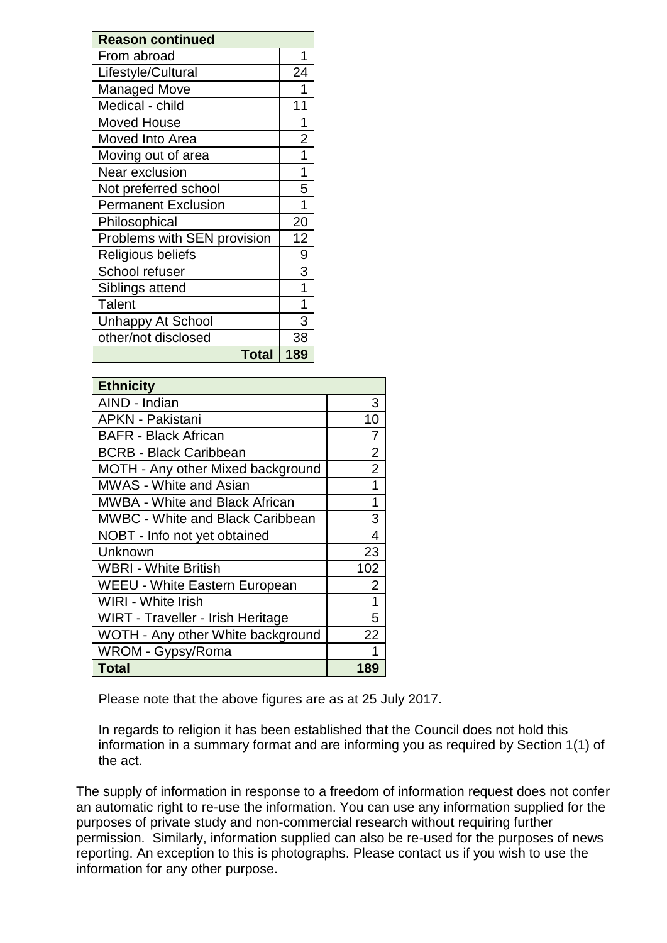| <b>Reason continued</b>     |                |  |
|-----------------------------|----------------|--|
| From abroad                 | 1              |  |
| Lifestyle/Cultural          | 24             |  |
| <b>Managed Move</b>         | 1              |  |
| Medical - child             | 11             |  |
| <b>Moved House</b>          | 1              |  |
| Moved Into Area             | $\overline{2}$ |  |
| Moving out of area          | 1              |  |
| Near exclusion              | 1              |  |
| Not preferred school        | 5              |  |
| <b>Permanent Exclusion</b>  | 1              |  |
| Philosophical               | 20             |  |
| Problems with SEN provision | 12             |  |
| Religious beliefs           | 9              |  |
| School refuser              | 3              |  |
| Siblings attend             |                |  |
| Talent                      | 1              |  |
| <b>Unhappy At School</b>    | 3              |  |
| other/not disclosed         | 38             |  |
| <b>Total</b>                | 189            |  |

| <b>Ethnicity</b>                        |                |  |
|-----------------------------------------|----------------|--|
| AIND - Indian                           | 3              |  |
| <b>APKN - Pakistani</b>                 | 10             |  |
| <b>BAFR - Black African</b>             | 7              |  |
| <b>BCRB - Black Caribbean</b>           | $\overline{2}$ |  |
| MOTH - Any other Mixed background       | $\overline{2}$ |  |
| <b>MWAS - White and Asian</b>           | 1              |  |
| <b>MWBA - White and Black African</b>   | 1              |  |
| <b>MWBC - White and Black Caribbean</b> | 3              |  |
| NOBT - Info not yet obtained            | 4              |  |
| Unknown                                 | 23             |  |
| WBRI - White British                    | 102            |  |
| <b>WEEU - White Eastern European</b>    | $\overline{2}$ |  |
| <b>WIRI - White Irish</b>               | 1              |  |
| WIRT - Traveller - Irish Heritage       | 5              |  |
| WOTH - Any other White background       | 22             |  |
| WROM - Gypsy/Roma                       |                |  |
| <b>Total</b>                            | 189            |  |

Please note that the above figures are as at 25 July 2017.

In regards to religion it has been established that the Council does not hold this information in a summary format and are informing you as required by Section 1(1) of the act.

The supply of information in response to a freedom of information request does not confer an automatic right to re-use the information. You can use any information supplied for the purposes of private study and non-commercial research without requiring further permission. Similarly, information supplied can also be re-used for the purposes of news reporting. An exception to this is photographs. Please contact us if you wish to use the information for any other purpose.